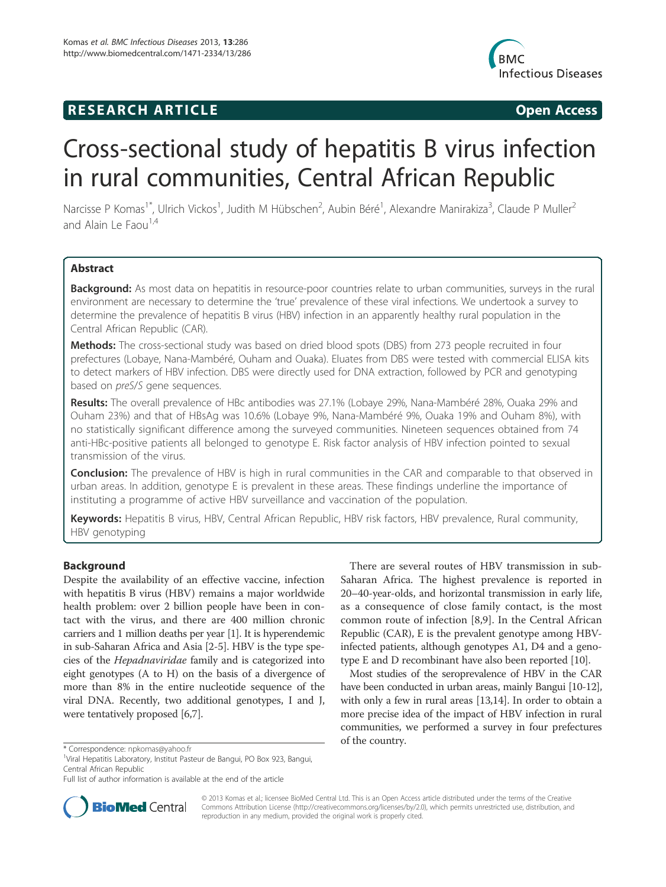# **RESEARCH ARTICLE Example 2014 CONSIDERING CONSIDERING CONSIDERING CONSIDERING CONSIDERING CONSIDERING CONSIDERING CONSIDERING CONSIDERING CONSIDERING CONSIDERING CONSIDERING CONSIDERING CONSIDERING CONSIDERING CONSIDE**



# Cross-sectional study of hepatitis B virus infection in rural communities, Central African Republic

Narcisse P Komas<sup>1\*</sup>, Ulrich Vickos<sup>1</sup>, Judith M Hübschen<sup>2</sup>, Aubin Béré<sup>1</sup>, Alexandre Manirakiza<sup>3</sup>, Claude P Muller<sup>2</sup> and Alain Le Faou $^{1,4}$ 

# **Abstract**

Background: As most data on hepatitis in resource-poor countries relate to urban communities, surveys in the rural environment are necessary to determine the 'true' prevalence of these viral infections. We undertook a survey to determine the prevalence of hepatitis B virus (HBV) infection in an apparently healthy rural population in the Central African Republic (CAR).

Methods: The cross-sectional study was based on dried blood spots (DBS) from 273 people recruited in four prefectures (Lobaye, Nana-Mambéré, Ouham and Ouaka). Eluates from DBS were tested with commercial ELISA kits to detect markers of HBV infection. DBS were directly used for DNA extraction, followed by PCR and genotyping based on preS/S gene sequences.

Results: The overall prevalence of HBc antibodies was 27.1% (Lobaye 29%, Nana-Mambéré 28%, Ouaka 29% and Ouham 23%) and that of HBsAg was 10.6% (Lobaye 9%, Nana-Mambéré 9%, Ouaka 19% and Ouham 8%), with no statistically significant difference among the surveyed communities. Nineteen sequences obtained from 74 anti-HBc-positive patients all belonged to genotype E. Risk factor analysis of HBV infection pointed to sexual transmission of the virus.

**Conclusion:** The prevalence of HBV is high in rural communities in the CAR and comparable to that observed in urban areas. In addition, genotype E is prevalent in these areas. These findings underline the importance of instituting a programme of active HBV surveillance and vaccination of the population.

Keywords: Hepatitis B virus, HBV, Central African Republic, HBV risk factors, HBV prevalence, Rural community, HBV genotyping

# Background

Despite the availability of an effective vaccine, infection with hepatitis B virus (HBV) remains a major worldwide health problem: over 2 billion people have been in contact with the virus, and there are 400 million chronic carriers and 1 million deaths per year [1]. It is hyperendemic in sub-Saharan Africa and Asia [2-5]. HBV is the type species of the Hepadnaviridae family and is categorized into eight genotypes (A to H) on the basis of a divergence of more than 8% in the entire nucleotide sequence of the viral DNA. Recently, two additional genotypes, I and J, were tentatively proposed [6,7].

There are several routes of HBV transmission in sub-Saharan Africa. The highest prevalence is reported in 20–40-year-olds, and horizontal transmission in early life, as a consequence of close family contact, is the most common route of infection [8,9]. In the Central African Republic (CAR), E is the prevalent genotype among HBVinfected patients, although genotypes A1, D4 and a genotype E and D recombinant have also been reported [10].

Most studies of the seroprevalence of HBV in the CAR have been conducted in urban areas, mainly Bangui [10-12], with only a few in rural areas [13,14]. In order to obtain a more precise idea of the impact of HBV infection in rural communities, we performed a survey in four prefectures



© 2013 Komas et al.; licensee BioMed Central Ltd. This is an Open Access article distributed under the terms of the Creative Commons Attribution License (http://creativecommons.org/licenses/by/2.0), which permits unrestricted use, distribution, and reproduction in any medium, provided the original work is properly cited.

of the country. \* Correspondence: npkomas@yahoo.fr <sup>1</sup>

<sup>&</sup>lt;sup>1</sup>Viral Hepatitis Laboratory, Institut Pasteur de Bangui, PO Box 923, Bangui, Central African Republic

Full list of author information is available at the end of the article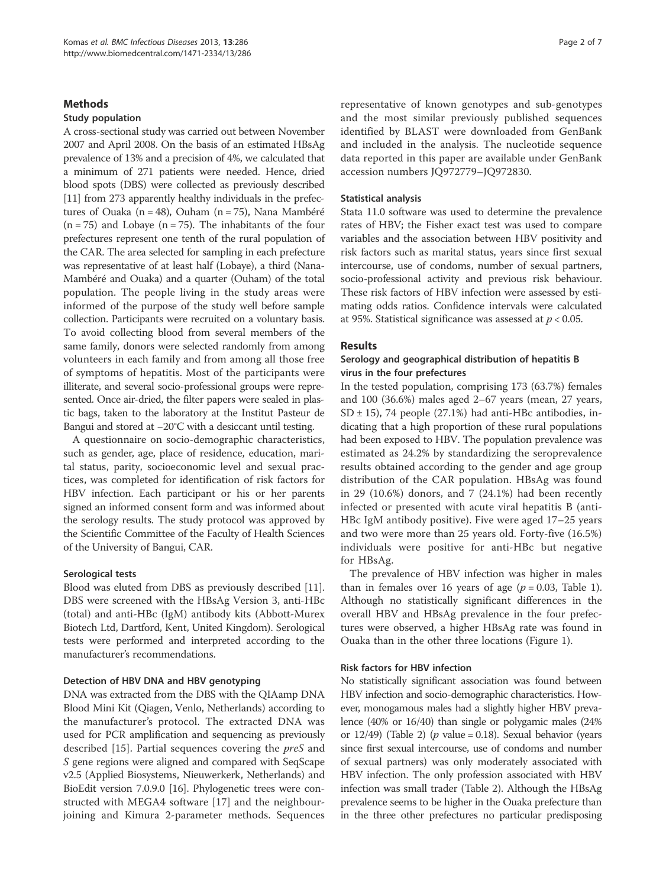## **Methods**

#### Study population

A cross-sectional study was carried out between November 2007 and April 2008. On the basis of an estimated HBsAg prevalence of 13% and a precision of 4%, we calculated that a minimum of 271 patients were needed. Hence, dried blood spots (DBS) were collected as previously described [11] from 273 apparently healthy individuals in the prefectures of Ouaka (n = 48), Ouham (n = 75), Nana Mambéré  $(n = 75)$  and Lobaye  $(n = 75)$ . The inhabitants of the four prefectures represent one tenth of the rural population of the CAR. The area selected for sampling in each prefecture was representative of at least half (Lobaye), a third (Nana-Mambéré and Ouaka) and a quarter (Ouham) of the total population. The people living in the study areas were informed of the purpose of the study well before sample collection. Participants were recruited on a voluntary basis. To avoid collecting blood from several members of the same family, donors were selected randomly from among volunteers in each family and from among all those free of symptoms of hepatitis. Most of the participants were illiterate, and several socio-professional groups were represented. Once air-dried, the filter papers were sealed in plastic bags, taken to the laboratory at the Institut Pasteur de Bangui and stored at −20°C with a desiccant until testing.

A questionnaire on socio-demographic characteristics, such as gender, age, place of residence, education, marital status, parity, socioeconomic level and sexual practices, was completed for identification of risk factors for HBV infection. Each participant or his or her parents signed an informed consent form and was informed about the serology results. The study protocol was approved by the Scientific Committee of the Faculty of Health Sciences of the University of Bangui, CAR.

#### Serological tests

Blood was eluted from DBS as previously described [11]. DBS were screened with the HBsAg Version 3, anti-HBc (total) and anti-HBc (IgM) antibody kits (Abbott-Murex Biotech Ltd, Dartford, Kent, United Kingdom). Serological tests were performed and interpreted according to the manufacturer's recommendations.

#### Detection of HBV DNA and HBV genotyping

DNA was extracted from the DBS with the QIAamp DNA Blood Mini Kit (Qiagen, Venlo, Netherlands) according to the manufacturer's protocol. The extracted DNA was used for PCR amplification and sequencing as previously described [15]. Partial sequences covering the *preS* and S gene regions were aligned and compared with SeqScape v2.5 (Applied Biosystems, Nieuwerkerk, Netherlands) and BioEdit version 7.0.9.0 [16]. Phylogenetic trees were constructed with MEGA4 software [17] and the neighbourjoining and Kimura 2-parameter methods. Sequences representative of known genotypes and sub-genotypes and the most similar previously published sequences identified by BLAST were downloaded from GenBank and included in the analysis. The nucleotide sequence data reported in this paper are available under GenBank accession numbers JQ972779–JQ972830.

### Statistical analysis

Stata 11.0 software was used to determine the prevalence rates of HBV; the Fisher exact test was used to compare variables and the association between HBV positivity and risk factors such as marital status, years since first sexual intercourse, use of condoms, number of sexual partners, socio-professional activity and previous risk behaviour. These risk factors of HBV infection were assessed by estimating odds ratios. Confidence intervals were calculated at 95%. Statistical significance was assessed at  $p < 0.05$ .

# Results

# Serology and geographical distribution of hepatitis B virus in the four prefectures

In the tested population, comprising 173 (63.7%) females and 100 (36.6%) males aged 2–67 years (mean, 27 years,  $SD \pm 15$ ), 74 people (27.1%) had anti-HBc antibodies, indicating that a high proportion of these rural populations had been exposed to HBV. The population prevalence was estimated as 24.2% by standardizing the seroprevalence results obtained according to the gender and age group distribution of the CAR population. HBsAg was found in 29 (10.6%) donors, and 7 (24.1%) had been recently infected or presented with acute viral hepatitis B (anti-HBc IgM antibody positive). Five were aged 17–25 years and two were more than 25 years old. Forty-five (16.5%) individuals were positive for anti-HBc but negative for HBsAg.

The prevalence of HBV infection was higher in males than in females over 16 years of age ( $p = 0.03$ , Table 1). Although no statistically significant differences in the overall HBV and HBsAg prevalence in the four prefectures were observed, a higher HBsAg rate was found in Ouaka than in the other three locations (Figure 1).

# Risk factors for HBV infection

No statistically significant association was found between HBV infection and socio-demographic characteristics. However, monogamous males had a slightly higher HBV prevalence (40% or 16/40) than single or polygamic males (24% or 12/49) (Table 2) ( $p$  value = 0.18). Sexual behavior (years since first sexual intercourse, use of condoms and number of sexual partners) was only moderately associated with HBV infection. The only profession associated with HBV infection was small trader (Table 2). Although the HBsAg prevalence seems to be higher in the Ouaka prefecture than in the three other prefectures no particular predisposing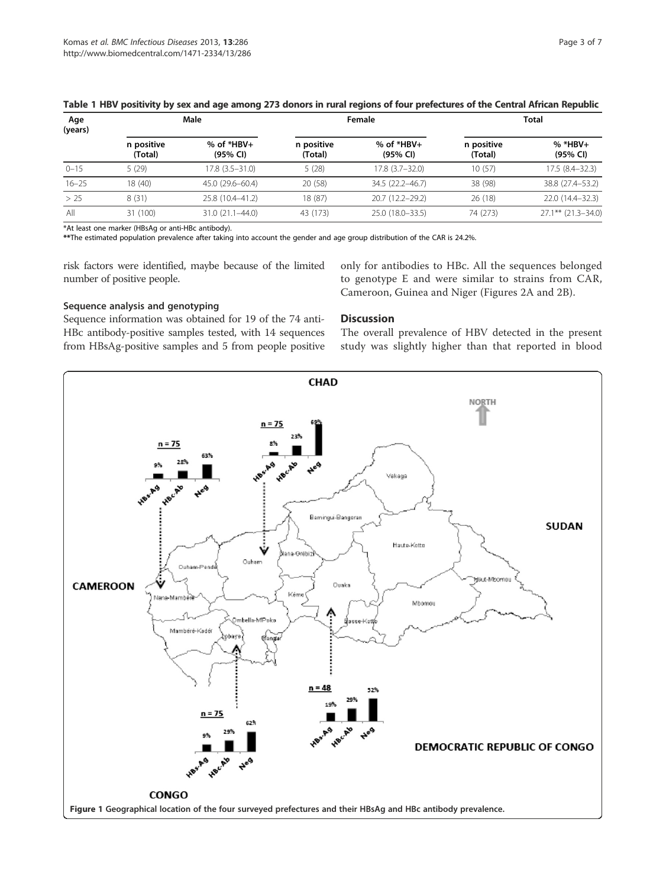| Age<br>(years) | Male                  |                          | Female                |                             | Total                 |                       |
|----------------|-----------------------|--------------------------|-----------------------|-----------------------------|-----------------------|-----------------------|
|                | n positive<br>(Total) | % of $*HBV+$<br>(95% CI) | n positive<br>(Total) | $%$ of $*$ HBV+<br>(95% CI) | n positive<br>(Total) | $% *HBV+$<br>(95% CI) |
| $0 - 15$       | 5(29)                 | $17.8$ $(3.5 - 31.0)$    | 5(28)                 | $17.8$ $(3.7 - 32.0)$       | 10(57)                | $17.5(8.4-32.3)$      |
| $16 - 25$      | 18 (40)               | 45.0 (29.6-60.4)         | 20 (58)               | 34.5 (22.2-46.7)            | 38 (98)               | 38.8 (27.4–53.2)      |
| > 25           | 8(31)                 | 25.8 (10.4-41.2)         | 18 (87)               | 20.7 (12.2-29.2)            | 26(18)                | 22.0 (14.4-32.3)      |
| All            | 31 (100)              | $31.0(21.1 - 44.0)$      | 43 (173)              | 25.0 (18.0-33.5)            | 74 (273)              | 27.1** (21.3–34.0)    |

#### Table 1 HBV positivity by sex and age among 273 donors in rural regions of four prefectures of the Central African Republic

\*At least one marker (HBsAg or anti-HBc antibody).

\*\*The estimated population prevalence after taking into account the gender and age group distribution of the CAR is 24.2%.

risk factors were identified, maybe because of the limited number of positive people.

### Sequence analysis and genotyping

Sequence information was obtained for 19 of the 74 anti-HBc antibody-positive samples tested, with 14 sequences from HBsAg-positive samples and 5 from people positive only for antibodies to HBc. All the sequences belonged to genotype E and were similar to strains from CAR, Cameroon, Guinea and Niger (Figures 2A and 2B).

# **Discussion**

The overall prevalence of HBV detected in the present study was slightly higher than that reported in blood

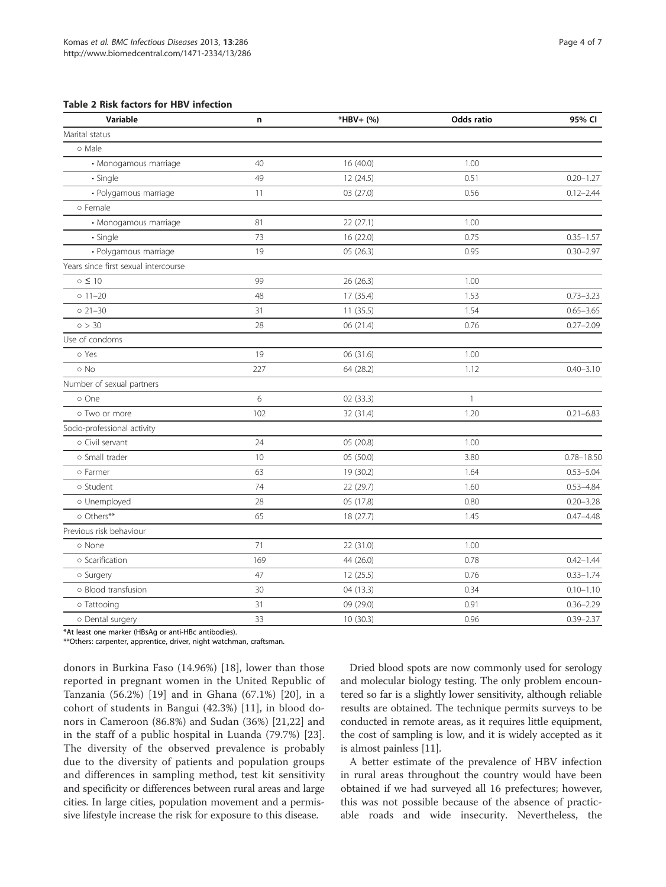Table 2 Risk factors for HBV infection

| Variable                             | n   | *HBV+ (%) | Odds ratio   | 95% CI         |
|--------------------------------------|-----|-----------|--------------|----------------|
| Marital status                       |     |           |              |                |
| o Male                               |     |           |              |                |
| · Monogamous marriage                | 40  | 16 (40.0) | 1.00         |                |
| · Single                             | 49  | 12 (24.5) | 0.51         | $0.20 - 1.27$  |
| · Polygamous marriage                | 11  | 03 (27.0) | 0.56         | $0.12 - 2.44$  |
| o Female                             |     |           |              |                |
| · Monogamous marriage                | 81  | 22 (27.1) | 1.00         |                |
| · Single                             | 73  | 16 (22.0) | 0.75         | $0.35 - 1.57$  |
| · Polygamous marriage                | 19  | 05(26.3)  | 0.95         | $0.30 - 2.97$  |
| Years since first sexual intercourse |     |           |              |                |
| $\circ$ $\leq$ 10                    | 99  | 26 (26.3) | 1.00         |                |
| $0 11 - 20$                          | 48  | 17 (35.4) | 1.53         | $0.73 - 3.23$  |
| $021 - 30$                           | 31  | 11(35.5)  | 1.54         | $0.65 - 3.65$  |
| $\circ$ > 30                         | 28  | 06 (21.4) | 0.76         | $0.27 - 2.09$  |
| Use of condoms                       |     |           |              |                |
| o Yes                                | 19  | 06 (31.6) | 1.00         |                |
| o No                                 | 227 | 64 (28.2) | 1.12         | $0.40 - 3.10$  |
| Number of sexual partners            |     |           |              |                |
| o One                                | 6   | 02 (33.3) | $\mathbf{1}$ |                |
| o Two or more                        | 102 | 32 (31.4) | 1.20         | $0.21 - 6.83$  |
| Socio-professional activity          |     |           |              |                |
| o Civil servant                      | 24  | 05 (20.8) | 1.00         |                |
| o Small trader                       | 10  | 05 (50.0) | 3.80         | $0.78 - 18.50$ |
| o Farmer                             | 63  | 19 (30.2) | 1.64         | $0.53 - 5.04$  |
| o Student                            | 74  | 22 (29.7) | 1.60         | $0.53 - 4.84$  |
| o Unemployed                         | 28  | 05 (17.8) | 0.80         | $0.20 - 3.28$  |
| o Others**                           | 65  | 18(27.7)  | 1.45         | $0.47 - 4.48$  |
| Previous risk behaviour              |     |           |              |                |
| o None                               | 71  | 22 (31.0) | 1.00         |                |
| o Scarification                      | 169 | 44 (26.0) | 0.78         | $0.42 - 1.44$  |
| o Surgery                            | 47  | 12(25.5)  | 0.76         | $0.33 - 1.74$  |
| o Blood transfusion                  | 30  | 04 (13.3) | 0.34         | $0.10 - 1.10$  |
| o Tattooing                          | 31  | 09 (29.0) | 0.91         | $0.36 - 2.29$  |
| o Dental surgery                     | 33  | 10(30.3)  | 0.96         | $0.39 - 2.37$  |

\*At least one marker (HBsAg or anti-HBc antibodies).

\*\*Others: carpenter, apprentice, driver, night watchman, craftsman.

donors in Burkina Faso (14.96%) [18], lower than those reported in pregnant women in the United Republic of Tanzania (56.2%) [19] and in Ghana (67.1%) [20], in a cohort of students in Bangui (42.3%) [11], in blood donors in Cameroon (86.8%) and Sudan (36%) [21,22] and in the staff of a public hospital in Luanda (79.7%) [23]. The diversity of the observed prevalence is probably due to the diversity of patients and population groups and differences in sampling method, test kit sensitivity and specificity or differences between rural areas and large cities. In large cities, population movement and a permissive lifestyle increase the risk for exposure to this disease.

Dried blood spots are now commonly used for serology and molecular biology testing. The only problem encountered so far is a slightly lower sensitivity, although reliable results are obtained. The technique permits surveys to be conducted in remote areas, as it requires little equipment, the cost of sampling is low, and it is widely accepted as it is almost painless [11].

A better estimate of the prevalence of HBV infection in rural areas throughout the country would have been obtained if we had surveyed all 16 prefectures; however, this was not possible because of the absence of practicable roads and wide insecurity. Nevertheless, the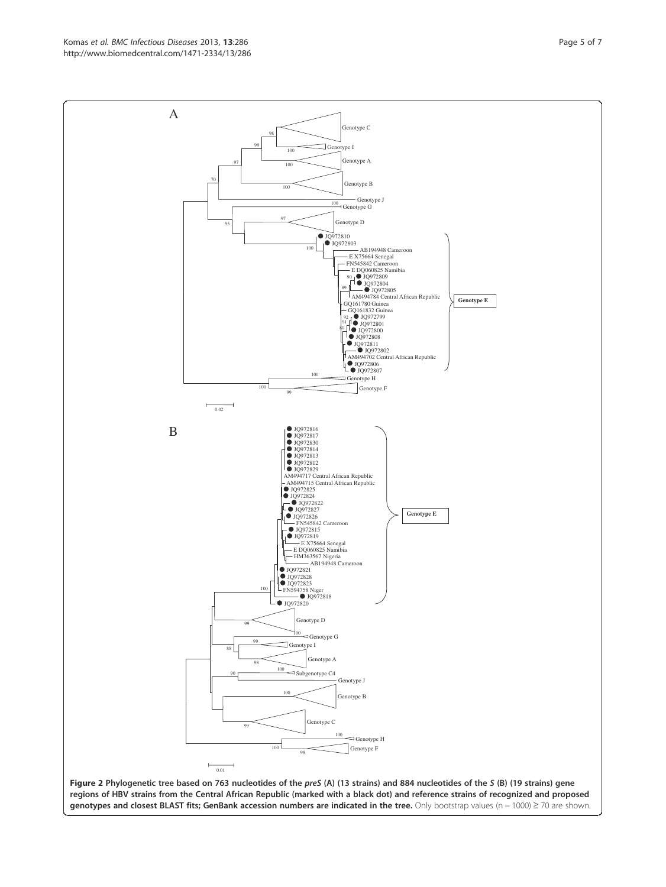regions of HBV strains from the Central African Republic (marked with a black dot) and reference strains of recognized and proposed genotypes and closest BLAST fits; GenBank accession numbers are indicated in the tree. Only bootstrap values (n = 1000) ≥ 70 are shown.

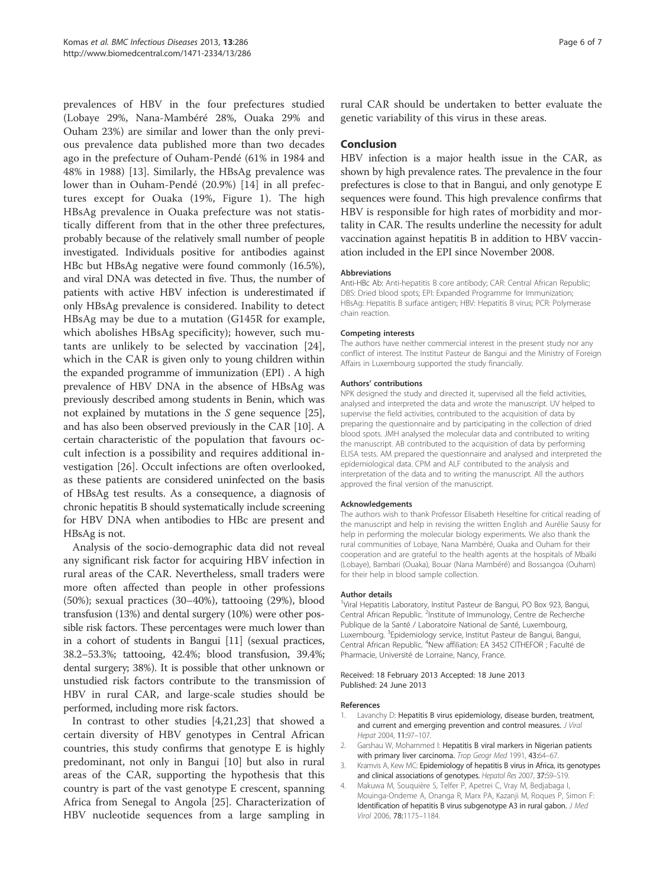prevalences of HBV in the four prefectures studied (Lobaye 29%, Nana-Mambéré 28%, Ouaka 29% and Ouham 23%) are similar and lower than the only previous prevalence data published more than two decades ago in the prefecture of Ouham-Pendé (61% in 1984 and 48% in 1988) [13]. Similarly, the HBsAg prevalence was lower than in Ouham-Pendé (20.9%) [14] in all prefectures except for Ouaka (19%, Figure 1). The high HBsAg prevalence in Ouaka prefecture was not statistically different from that in the other three prefectures, probably because of the relatively small number of people investigated. Individuals positive for antibodies against HBc but HBsAg negative were found commonly (16.5%), and viral DNA was detected in five. Thus, the number of patients with active HBV infection is underestimated if only HBsAg prevalence is considered. Inability to detect HBsAg may be due to a mutation (G145R for example, which abolishes HBsAg specificity); however, such mutants are unlikely to be selected by vaccination [24], which in the CAR is given only to young children within the expanded programme of immunization (EPI) . A high prevalence of HBV DNA in the absence of HBsAg was previously described among students in Benin, which was not explained by mutations in the S gene sequence [25], and has also been observed previously in the CAR [10]. A certain characteristic of the population that favours occult infection is a possibility and requires additional investigation [26]. Occult infections are often overlooked, as these patients are considered uninfected on the basis of HBsAg test results. As a consequence, a diagnosis of chronic hepatitis B should systematically include screening for HBV DNA when antibodies to HBc are present and HBsAg is not.

Analysis of the socio-demographic data did not reveal any significant risk factor for acquiring HBV infection in rural areas of the CAR. Nevertheless, small traders were more often affected than people in other professions (50%); sexual practices (30–40%), tattooing (29%), blood transfusion (13%) and dental surgery (10%) were other possible risk factors. These percentages were much lower than in a cohort of students in Bangui [11] (sexual practices, 38.2–53.3%; tattooing, 42.4%; blood transfusion, 39.4%; dental surgery; 38%). It is possible that other unknown or unstudied risk factors contribute to the transmission of HBV in rural CAR, and large-scale studies should be performed, including more risk factors.

In contrast to other studies [4,21,23] that showed a certain diversity of HBV genotypes in Central African countries, this study confirms that genotype E is highly predominant, not only in Bangui [10] but also in rural areas of the CAR, supporting the hypothesis that this country is part of the vast genotype E crescent, spanning Africa from Senegal to Angola [25]. Characterization of HBV nucleotide sequences from a large sampling in rural CAR should be undertaken to better evaluate the genetic variability of this virus in these areas.

### Conclusion

HBV infection is a major health issue in the CAR, as shown by high prevalence rates. The prevalence in the four prefectures is close to that in Bangui, and only genotype E sequences were found. This high prevalence confirms that HBV is responsible for high rates of morbidity and mortality in CAR. The results underline the necessity for adult vaccination against hepatitis B in addition to HBV vaccination included in the EPI since November 2008.

#### Abbreviations

Anti-HBc Ab: Anti-hepatitis B core antibody; CAR: Central African Republic; DBS: Dried blood spots; EPI: Expanded Programme for Immunization; HBsAg: Hepatitis B surface antigen; HBV: Hepatitis B virus; PCR: Polymerase chain reaction.

#### Competing interests

The authors have neither commercial interest in the present study nor any conflict of interest. The Institut Pasteur de Bangui and the Ministry of Foreign Affairs in Luxembourg supported the study financially.

#### Authors' contributions

NPK designed the study and directed it, supervised all the field activities, analysed and interpreted the data and wrote the manuscript. UV helped to supervise the field activities, contributed to the acquisition of data by preparing the questionnaire and by participating in the collection of dried blood spots. JMH analysed the molecular data and contributed to writing the manuscript. AB contributed to the acquisition of data by performing ELISA tests. AM prepared the questionnaire and analysed and interpreted the epidemiological data. CPM and ALF contributed to the analysis and interpretation of the data and to writing the manuscript. All the authors approved the final version of the manuscript.

#### Acknowledgements

The authors wish to thank Professor Elisabeth Heseltine for critical reading of the manuscript and help in revising the written English and Aurélie Sausy for help in performing the molecular biology experiments. We also thank the rural communities of Lobaye, Nana Mambéré, Ouaka and Ouham for their cooperation and are grateful to the health agents at the hospitals of Mbaïki (Lobaye), Bambari (Ouaka), Bouar (Nana Mambéré) and Bossangoa (Ouham) for their help in blood sample collection.

#### Author details

<sup>1</sup>Viral Hepatitis Laboratory, Institut Pasteur de Bangui, PO Box 923, Bangui, Central African Republic. <sup>2</sup>Institute of Immunology, Centre de Recherche Publique de la Santé / Laboratoire National de Santé, Luxembourg, Luxembourg. <sup>3</sup>Epidemiology service, Institut Pasteur de Bangui, Bangui, Central African Republic. <sup>4</sup>New affiliation: EA 3452 CITHEFOR ; Faculté de Pharmacie, Université de Lorraine, Nancy, France.

#### Received: 18 February 2013 Accepted: 18 June 2013 Published: 24 June 2013

#### References

- 1. Lavanchy D: Hepatitis B virus epidemiology, disease burden, treatment, and current and emerging prevention and control measures. J Viral Hepat 2004, 11:97–107.
- 2. Garshau W, Mohammed I: Hepatitis B viral markers in Nigerian patients with primary liver carcinoma. Trop Geogr Med 1991, 43:64-67.
- 3. Kramvis A, Kew MC: Epidemiology of hepatitis B virus in Africa, its genotypes and clinical associations of genotypes. Hepatol Res 2007, 37:S9–S19.
- 4. Makuwa M, Souquière S, Telfer P, Apetrei C, Vray M, Bedjabaga I, Mouinga-Ondeme A, Onanga R, Marx PA, Kazanji M, Roques P, Simon F: Identification of hepatitis B virus subgenotype A3 in rural gabon. J Med Virol 2006, 78:1175–1184.